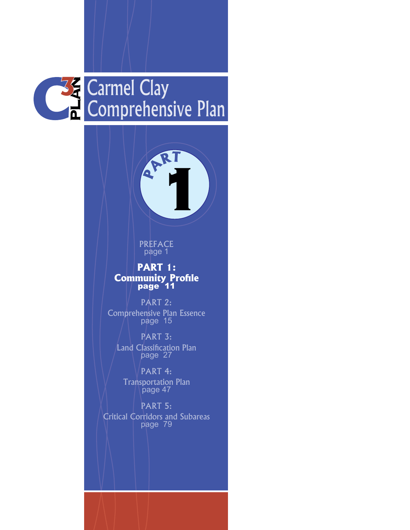



PREFACE page 1

### **PART 1: Community Profile**

PART 2: Comprehensive Plan Essence page 15

PART 3: Land Classification Plan page 27

PART 4: Transportation Plan page 47

PART 5: Critical Corridors and Subareas page 79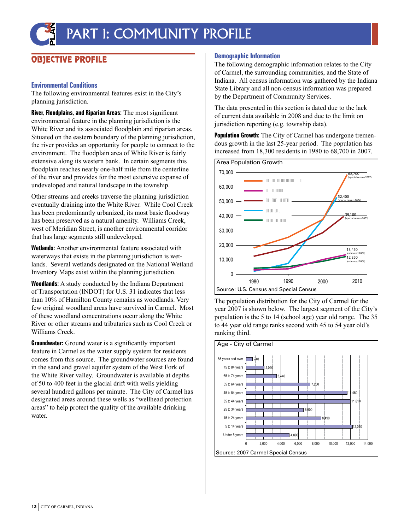# PART 1: COMMUNITY PROFILE

### OBJECTIVE PROFILE

#### **Environmental Conditions**

The following environmental features exist in the City's planning jurisdiction.

**River, Floodplains, and Riparian Areas:** The most significant environmental feature in the planning jurisdiction is the White River and its associated floodplain and riparian areas. Situated on the eastern boundary of the planning jurisdiction, the river provides an opportunity for people to connect to the environment. The floodplain area of White River is fairly extensive along its western bank. In certain segments this floodplain reaches nearly one-half mile from the centerline of the river and provides for the most extensive expanse of undeveloped and natural landscape in the township.

Other streams and creeks traverse the planning jurisdiction eventually draining into the White River. While Cool Creek has been predominantly urbanized, its most basic floodway has been preserved as a natural amenity. Williams Creek, west of Meridian Street, is another environmental corridor that has large segments still undeveloped.

**Wetlands:** Another environmental feature associated with waterways that exists in the planning jurisdiction is wetlands. Several wetlands designated on the National Wetland Inventory Maps exist within the planning jurisdiction.

**Woodlands:** A study conducted by the Indiana Department of Transportation (INDOT) for U.S. 31 indicates that less than 10% of Hamilton County remains as woodlands. Very few original woodland areas have survived in Carmel. Most of these woodland concentrations occur along the White River or other streams and tributaries such as Cool Creek or Williams Creek.

**Groundwater:** Ground water is a significantly important feature in Carmel as the water supply system for residents comes from this source. The groundwater sources are found in the sand and gravel aquifer system of the West Fork of the White River valley. Groundwater is available at depths of 50 to 400 feet in the glacial drift with wells yielding several hundred gallons per minute. The City of Carmel has designated areas around these wells as "wellhead protection areas" to help protect the quality of the available drinking water.

#### **Demographic Information**

The following demographic information relates to the City of Carmel, the surrounding communities, and the State of Indiana. All census information was gathered by the Indiana State Library and all non-census information was prepared by the Department of Community Services.

The data presented in this section is dated due to the lack of current data available in 2008 and due to the limit on jurisdiction reporting (e.g. township data).

**Population Growth:** The City of Carmel has undergone tremendous growth in the last 25-year period. The population has increased from 18,300 residents in 1980 to 68,700 in 2007.



The population distribution for the City of Carmel for the year 2007 is shown below. The largest segment of the City's population is the 5 to 14 (school age) year old range. The 35 to 44 year old range ranks second with 45 to 54 year old's ranking third.

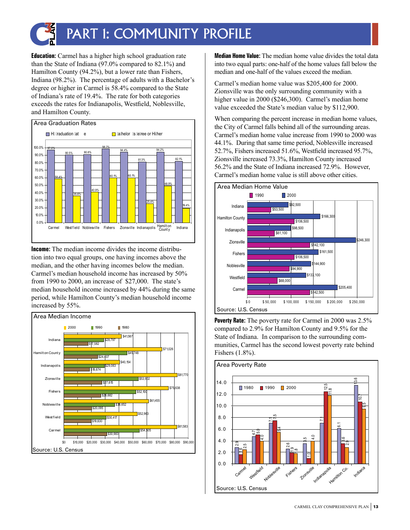

## PART 1: COMMUNITY PROFILE

**Education:** Carmel has a higher high school graduation rate than the State of Indiana (97.0% compared to 82.1%) and Hamilton County (94.2%), but a lower rate than Fishers, Indiana (98.2%). The percentage of adults with a Bachelor's degree or higher in Carmel is 58.4% compared to the State of Indiana's rate of 19.4%. The rate for both categories exceeds the rates for Indianapolis, Westfield, Noblesville, and Hamilton County.



**Income:** The median income divides the income distribution into two equal groups, one having incomes above the median, and the other having incomes below the median. Carmel's median household income has increased by 50% from 1990 to 2000, an increase of \$27,000. The state's median household income increased by 44% during the same period, while Hamilton County's median household income increased by 55%.



**Median Home Value:** The median home value divides the total data into two equal parts: one-half of the home values fall below the median and one-half of the values exceed the median.

Carmel's median home value was \$205,400 for 2000. Zionsville was the only surrounding community with a higher value in 2000 (\$246,300). Carmel's median home value exceeded the State's median value by \$112,900.

When comparing the percent increase in median home values, the City of Carmel falls behind all of the surrounding areas. Carmel's median home value increase from 1990 to 2000 was 44.1%. During that same time period, Noblesville increased 52.7%, Fishers increased 51.6%, Westfield increased 95.7%, Zionsville increased 73.3%, Hamilton County increased 56.2% and the State of Indiana increased 72.9%. However, Carmel's median home value is still above other cities.



**Poverty Rate:** The poverty rate for Carmel in 2000 was 2.5% compared to 2.9% for Hamilton County and 9.5% for the State of Indiana. In comparison to the surrounding communities, Carmel has the second lowest poverty rate behind Fishers (1.8%).